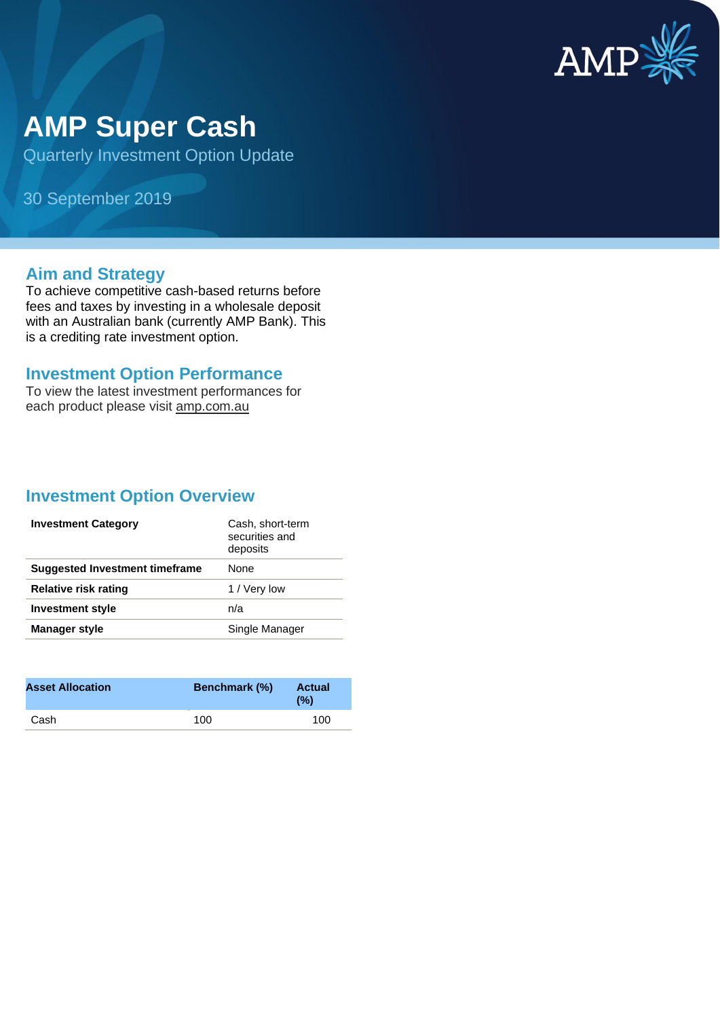

# **AMP Super Cash**

Quarterly Investment Option Update

30 September 2019

#### **Aim and Strategy**

To achieve competitive cash-based returns before fees and taxes by investing in a wholesale deposit with an Australian bank (currently AMP Bank). This is a crediting rate investment option.

#### **Investment Option Performance**

To view the latest investment performances for each product please visit amp.com.au

### **Investment Option Overview**

| <b>Investment Category</b>     | Cash, short-term<br>securities and<br>deposits |
|--------------------------------|------------------------------------------------|
| Suggested Investment timeframe | None                                           |
| Relative risk rating           | 1 / Very low                                   |
| <b>Investment style</b>        | n/a                                            |
| <b>Manager style</b>           | Single Manager                                 |

| <b>Asset Allocation</b> | <b>Benchmark (%)</b> | <b>Actual</b><br>(%) |
|-------------------------|----------------------|----------------------|
| Cash                    | 100                  | 100                  |